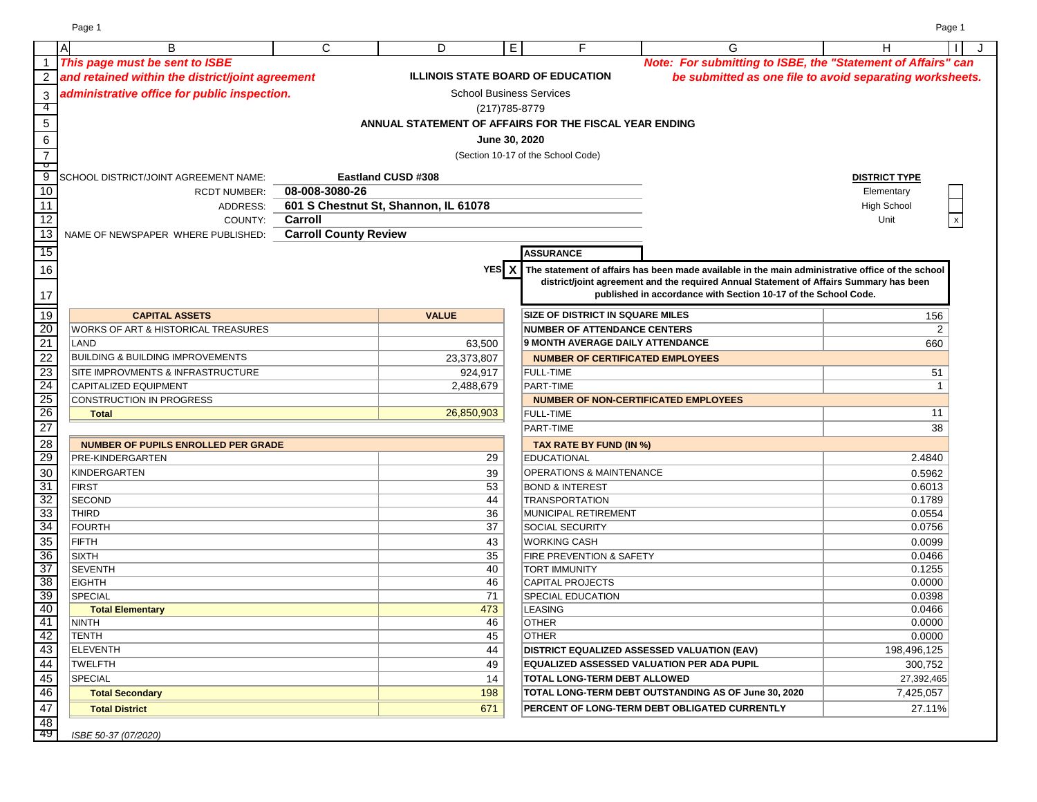|                      | A<br>B                                           | C                                    | D                         | $\overline{E}$                  | F                                                                              | G                                                                                                                                                                                          | н                    | J<br>$\perp$   |
|----------------------|--------------------------------------------------|--------------------------------------|---------------------------|---------------------------------|--------------------------------------------------------------------------------|--------------------------------------------------------------------------------------------------------------------------------------------------------------------------------------------|----------------------|----------------|
| $\overline{1}$       | This page must be sent to ISBE                   |                                      |                           |                                 |                                                                                | Note: For submitting to ISBE, the "Statement of Affairs" can                                                                                                                               |                      |                |
| 2                    | and retained within the district/joint agreement |                                      |                           |                                 | <b>ILLINOIS STATE BOARD OF EDUCATION</b>                                       | be submitted as one file to avoid separating worksheets.                                                                                                                                   |                      |                |
| 3                    | administrative office for public inspection.     |                                      |                           | <b>School Business Services</b> |                                                                                |                                                                                                                                                                                            |                      |                |
| -4                   |                                                  |                                      |                           | (217) 785-8779                  |                                                                                |                                                                                                                                                                                            |                      |                |
| $5\phantom{.0}$      |                                                  |                                      |                           |                                 | ANNUAL STATEMENT OF AFFAIRS FOR THE FISCAL YEAR ENDING                         |                                                                                                                                                                                            |                      |                |
|                      |                                                  |                                      |                           | June 30, 2020                   |                                                                                |                                                                                                                                                                                            |                      |                |
| 6                    |                                                  |                                      |                           |                                 |                                                                                |                                                                                                                                                                                            |                      |                |
| $\overline{7}$<br>᠊ᠣ |                                                  |                                      |                           |                                 | (Section 10-17 of the School Code)                                             |                                                                                                                                                                                            |                      |                |
| 9                    | SCHOOL DISTRICT/JOINT AGREEMENT NAME:            |                                      | <b>Eastland CUSD #308</b> |                                 |                                                                                |                                                                                                                                                                                            | <b>DISTRICT TYPE</b> |                |
| 10                   | <b>RCDT NUMBER:</b>                              | 08-008-3080-26                       |                           |                                 |                                                                                |                                                                                                                                                                                            | Elementary           |                |
| 11                   | ADDRESS:                                         | 601 S Chestnut St, Shannon, IL 61078 |                           |                                 |                                                                                |                                                                                                                                                                                            | <b>High School</b>   |                |
| 12                   | COUNTY:                                          | Carroll                              |                           |                                 |                                                                                |                                                                                                                                                                                            | Unit                 |                |
| $\overline{13}$      | NAME OF NEWSPAPER WHERE PUBLISHED:               | <b>Carroll County Review</b>         |                           |                                 |                                                                                |                                                                                                                                                                                            |                      |                |
| 15                   |                                                  |                                      |                           |                                 | <b>ASSURANCE</b>                                                               |                                                                                                                                                                                            |                      |                |
|                      |                                                  |                                      |                           | YES X                           |                                                                                |                                                                                                                                                                                            |                      |                |
| 16                   |                                                  |                                      |                           |                                 |                                                                                | The statement of affairs has been made available in the main administrative office of the school<br>district/joint agreement and the required Annual Statement of Affairs Summary has been |                      |                |
| 17                   |                                                  |                                      |                           |                                 |                                                                                | published in accordance with Section 10-17 of the School Code.                                                                                                                             |                      |                |
|                      |                                                  |                                      |                           |                                 | <b>SIZE OF DISTRICT IN SQUARE MILES</b>                                        |                                                                                                                                                                                            |                      |                |
| 19                   | <b>CAPITAL ASSETS</b>                            |                                      | <b>VALUE</b>              |                                 |                                                                                |                                                                                                                                                                                            | 156                  |                |
| 20<br>21             | WORKS OF ART & HISTORICAL TREASURES              |                                      |                           |                                 | <b>NUMBER OF ATTENDANCE CENTERS</b><br><b>9 MONTH AVERAGE DAILY ATTENDANCE</b> |                                                                                                                                                                                            |                      | 2              |
|                      | LAND                                             |                                      |                           | 63,500                          |                                                                                |                                                                                                                                                                                            | 660                  |                |
| 22                   | <b>BUILDING &amp; BUILDING IMPROVEMENTS</b>      |                                      |                           | 23,373,807                      | <b>NUMBER OF CERTIFICATED EMPLOYEES</b>                                        |                                                                                                                                                                                            |                      |                |
| 23                   | <b>SITE IMPROVMENTS &amp; INFRASTRUCTURE</b>     |                                      |                           | 924,917                         | <b>FULL-TIME</b>                                                               |                                                                                                                                                                                            | 51                   |                |
| 24                   | CAPITALIZED EQUIPMENT                            |                                      |                           | 2,488,679                       | PART-TIME                                                                      |                                                                                                                                                                                            |                      | $\overline{1}$ |
| 25                   | <b>CONSTRUCTION IN PROGRESS</b>                  |                                      |                           |                                 | <b>NUMBER OF NON-CERTIFICATED EMPLOYEES</b>                                    |                                                                                                                                                                                            |                      |                |
| 26                   | <b>Total</b>                                     |                                      |                           | 26,850,903                      | <b>FULL-TIME</b>                                                               |                                                                                                                                                                                            | 11                   |                |
| $\overline{27}$      |                                                  |                                      |                           |                                 | PART-TIME                                                                      |                                                                                                                                                                                            | 38                   |                |
| 28                   | <b>NUMBER OF PUPILS ENROLLED PER GRADE</b>       |                                      |                           |                                 | TAX RATE BY FUND (IN %)                                                        |                                                                                                                                                                                            |                      |                |
| 29                   | PRE-KINDERGARTEN                                 |                                      |                           | 29                              | <b>EDUCATIONAL</b>                                                             |                                                                                                                                                                                            | 2.4840               |                |
| 30                   | <b>KINDERGARTEN</b>                              |                                      |                           | 39                              | OPERATIONS & MAINTENANCE                                                       |                                                                                                                                                                                            | 0.5962               |                |
| 31                   | <b>FIRST</b>                                     |                                      |                           | 53                              | <b>BOND &amp; INTEREST</b>                                                     |                                                                                                                                                                                            | 0.6013               |                |
| 32                   | <b>SECOND</b>                                    |                                      |                           | 44                              | <b>TRANSPORTATION</b>                                                          |                                                                                                                                                                                            | 0.1789               |                |
| 33                   | THIRD                                            |                                      |                           | 36                              | MUNICIPAL RETIREMENT                                                           |                                                                                                                                                                                            | 0.0554               |                |
| $\overline{34}$      | <b>FOURTH</b>                                    |                                      |                           | 37                              | <b>SOCIAL SECURITY</b>                                                         |                                                                                                                                                                                            | 0.0756               |                |
| 35<br>36             | FIFTH                                            |                                      |                           | 43                              | <b>WORKING CASH</b>                                                            |                                                                                                                                                                                            | 0.0099               |                |
| $\overline{37}$      | <b>SIXTH</b><br><b>SEVENTH</b>                   |                                      |                           | 35                              | FIRE PREVENTION & SAFETY<br><b>TORT IMMUNITY</b>                               |                                                                                                                                                                                            | 0.0466<br>0.1255     |                |
| $\overline{38}$      | <b>EIGHTH</b>                                    |                                      |                           | 40<br>46                        | CAPITAL PROJECTS                                                               |                                                                                                                                                                                            | 0.0000               |                |
| 39                   | <b>SPECIAL</b>                                   |                                      |                           | 71                              | <b>SPECIAL EDUCATION</b>                                                       |                                                                                                                                                                                            | 0.0398               |                |
| 40                   | <b>Total Elementary</b>                          |                                      |                           | 473                             | <b>LEASING</b>                                                                 |                                                                                                                                                                                            | 0.0466               |                |
| 41                   | NINTH                                            |                                      |                           | 46                              | <b>OTHER</b>                                                                   |                                                                                                                                                                                            | 0.0000               |                |
| 42                   | <b>TENTH</b>                                     |                                      |                           | 45                              | <b>OTHER</b>                                                                   |                                                                                                                                                                                            | 0.0000               |                |
| 43                   | <b>ELEVENTH</b>                                  |                                      |                           | 44                              | <b>DISTRICT EQUALIZED ASSESSED VALUATION (EAV)</b>                             |                                                                                                                                                                                            | 198,496,125          |                |
| $\overline{44}$      | <b>TWELFTH</b>                                   |                                      |                           | 49                              | EQUALIZED ASSESSED VALUATION PER ADA PUPIL                                     |                                                                                                                                                                                            | 300,752              |                |
| 45                   | SPECIAL                                          |                                      |                           | 14                              | TOTAL LONG-TERM DEBT ALLOWED                                                   |                                                                                                                                                                                            | 27,392,465           |                |
| 46                   | <b>Total Secondary</b>                           |                                      |                           | 198                             |                                                                                | TOTAL LONG-TERM DEBT OUTSTANDING AS OF June 30, 2020                                                                                                                                       | 7,425,057            |                |
| 47                   | <b>Total District</b>                            |                                      |                           | 671                             |                                                                                | PERCENT OF LONG-TERM DEBT OBLIGATED CURRENTLY                                                                                                                                              | 27.11%               |                |
| 48                   |                                                  |                                      |                           |                                 |                                                                                |                                                                                                                                                                                            |                      |                |
| -49                  | ISBE 50-37 (07/2020)                             |                                      |                           |                                 |                                                                                |                                                                                                                                                                                            |                      |                |

Page 1 Page 1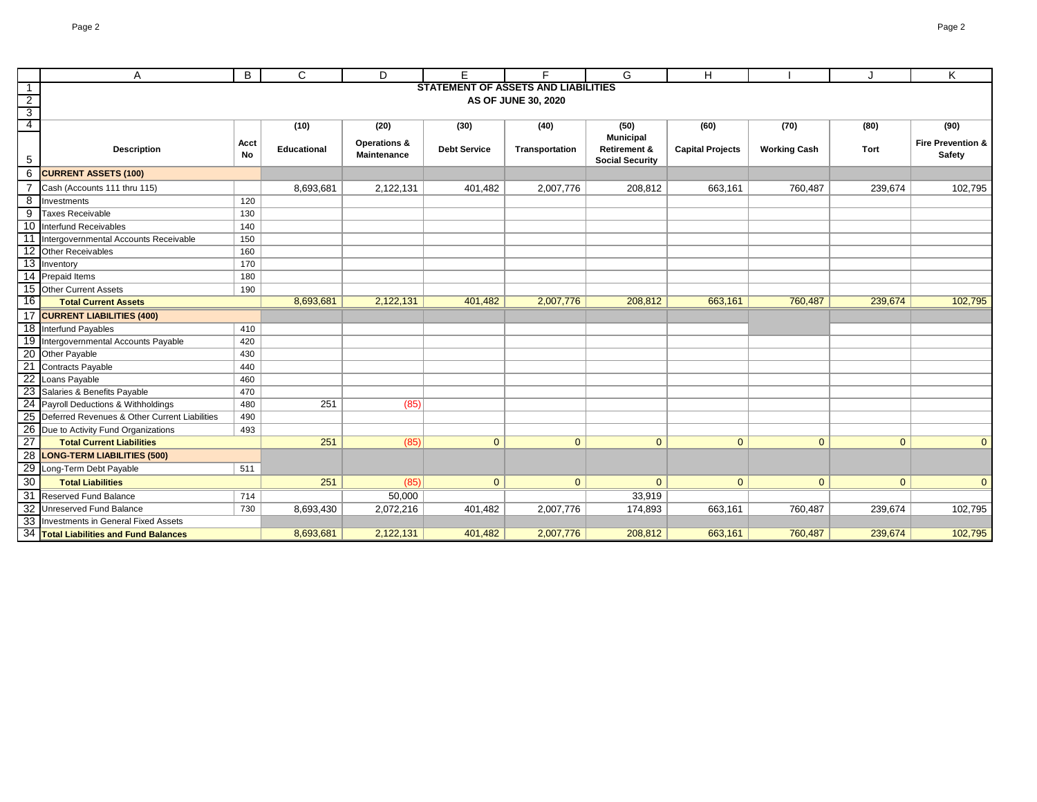|                                           | A                                                | B                   | C                  | D                                             | E                                          | F              | G                                      | н                       |                     |              | K                                      |
|-------------------------------------------|--------------------------------------------------|---------------------|--------------------|-----------------------------------------------|--------------------------------------------|----------------|----------------------------------------|-------------------------|---------------------|--------------|----------------------------------------|
| $\overline{1}$                            |                                                  |                     |                    |                                               | <b>STATEMENT OF ASSETS AND LIABILITIES</b> |                |                                        |                         |                     |              |                                        |
| $\overline{2}$<br>$\overline{\mathbf{3}}$ |                                                  | AS OF JUNE 30, 2020 |                    |                                               |                                            |                |                                        |                         |                     |              |                                        |
| $\overline{4}$                            |                                                  |                     | (10)               | (20)                                          | (30)                                       | (40)           | (50)                                   | (60)                    | (70)                | (80)         | (90)                                   |
|                                           |                                                  |                     |                    |                                               |                                            |                | <b>Municipal</b>                       |                         |                     |              |                                        |
| 5                                         | <b>Description</b>                               | Acct<br>No          | <b>Educational</b> | <b>Operations &amp;</b><br><b>Maintenance</b> | <b>Debt Service</b>                        | Transportation | Retirement &<br><b>Social Security</b> | <b>Capital Projects</b> | <b>Working Cash</b> | Tort         | <b>Fire Prevention &amp;</b><br>Safety |
| 6                                         | <b>CURRENT ASSETS (100)</b>                      |                     |                    |                                               |                                            |                |                                        |                         |                     |              |                                        |
|                                           | Cash (Accounts 111 thru 115)                     |                     | 8,693,681          | 2,122,131                                     | 401,482                                    | 2,007,776      | 208,812                                | 663,161                 | 760,487             | 239,674      | 102,795                                |
| 8                                         | Investments                                      | 120                 |                    |                                               |                                            |                |                                        |                         |                     |              |                                        |
| 9                                         | <b>Taxes Receivable</b>                          | 130                 |                    |                                               |                                            |                |                                        |                         |                     |              |                                        |
|                                           | 10 Interfund Receivables                         | 140                 |                    |                                               |                                            |                |                                        |                         |                     |              |                                        |
| 11                                        | Intergovernmental Accounts Receivable            | 150                 |                    |                                               |                                            |                |                                        |                         |                     |              |                                        |
|                                           | 12 Other Receivables                             | 160                 |                    |                                               |                                            |                |                                        |                         |                     |              |                                        |
|                                           | 13 Inventory                                     | 170                 |                    |                                               |                                            |                |                                        |                         |                     |              |                                        |
|                                           | 14 Prepaid Items                                 | 180                 |                    |                                               |                                            |                |                                        |                         |                     |              |                                        |
|                                           | 15 Other Current Assets                          | 190                 |                    |                                               |                                            |                |                                        |                         |                     |              |                                        |
| 16                                        | <b>Total Current Assets</b>                      |                     | 8,693,681          | 2,122,131                                     | 401,482                                    | 2,007,776      | 208,812                                | 663,161                 | 760,487             | 239,674      | 102,795                                |
|                                           | 17 CURRENT LIABILITIES (400)                     |                     |                    |                                               |                                            |                |                                        |                         |                     |              |                                        |
|                                           | 18 Interfund Payables                            | 410                 |                    |                                               |                                            |                |                                        |                         |                     |              |                                        |
|                                           | 19 Intergovernmental Accounts Payable            | 420                 |                    |                                               |                                            |                |                                        |                         |                     |              |                                        |
|                                           | 20 Other Payable                                 | 430                 |                    |                                               |                                            |                |                                        |                         |                     |              |                                        |
|                                           | 21 Contracts Payable                             | 440                 |                    |                                               |                                            |                |                                        |                         |                     |              |                                        |
|                                           | 22 Loans Payable                                 | 460                 |                    |                                               |                                            |                |                                        |                         |                     |              |                                        |
|                                           | 23 Salaries & Benefits Payable                   | 470                 |                    |                                               |                                            |                |                                        |                         |                     |              |                                        |
|                                           | 24 Payroll Deductions & Withholdings             | 480                 | 251                | (85)                                          |                                            |                |                                        |                         |                     |              |                                        |
|                                           | 25 Deferred Revenues & Other Current Liabilities | 490                 |                    |                                               |                                            |                |                                        |                         |                     |              |                                        |
| $\overline{26}$                           | Due to Activity Fund Organizations               | 493                 |                    |                                               |                                            |                |                                        |                         |                     |              |                                        |
| $\overline{27}$                           | <b>Total Current Liabilities</b>                 |                     | 251                | (85)                                          | $\mathbf{0}$                               | $\Omega$       | $\overline{0}$                         | $\mathbf{0}$            | $\mathbf{0}$        | $\Omega$     | $\overline{0}$                         |
| 28                                        | <b>LONG-TERM LIABILITIES (500)</b>               |                     |                    |                                               |                                            |                |                                        |                         |                     |              |                                        |
|                                           | 29 Long-Term Debt Payable                        | 511                 |                    |                                               |                                            |                |                                        |                         |                     |              |                                        |
| 30                                        | <b>Total Liabilities</b>                         |                     | 251                | (85)                                          | $\mathbf{0}$                               | $\mathbf{0}$   | $\mathbf{0}$                           | $\overline{0}$          | $\mathbf{0}$        | $\mathbf{0}$ | $\overline{0}$                         |
|                                           | 31 Reserved Fund Balance                         | 714                 |                    | 50,000                                        |                                            |                | 33,919                                 |                         |                     |              |                                        |
|                                           | 32 Unreserved Fund Balance                       | 730                 | 8,693,430          | 2,072,216                                     | 401,482                                    | 2,007,776      | 174,893                                | 663,161                 | 760,487             | 239,674      | 102,795                                |
|                                           | 33 Investments in General Fixed Assets           |                     |                    |                                               |                                            |                |                                        |                         |                     |              |                                        |
|                                           | 34 Total Liabilities and Fund Balances           |                     | 8,693,681          | 2,122,131                                     | 401,482                                    | 2,007,776      | 208,812                                | 663,161                 | 760,487             | 239,674      | 102,795                                |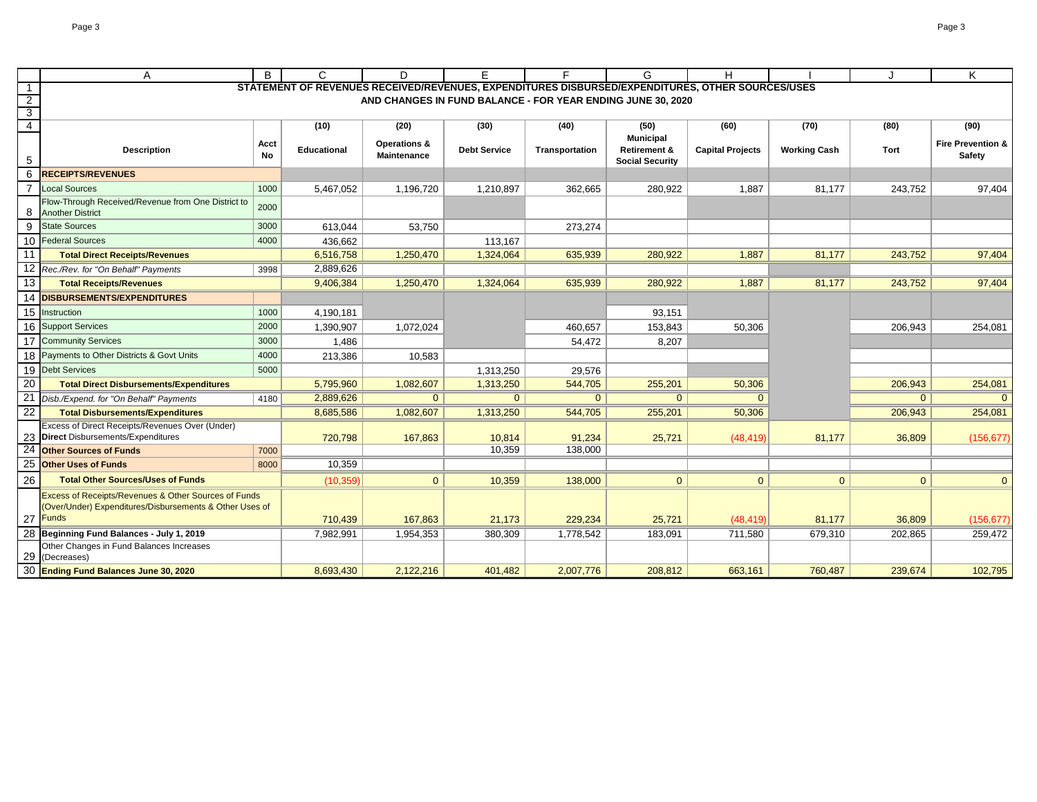|                | Α                                                                             | B          | C                                                                                                | D                           | E.                  | F.                                                          | G                       | Н                       |                     |                | Κ                                             |
|----------------|-------------------------------------------------------------------------------|------------|--------------------------------------------------------------------------------------------------|-----------------------------|---------------------|-------------------------------------------------------------|-------------------------|-------------------------|---------------------|----------------|-----------------------------------------------|
|                |                                                                               |            | STATEMENT OF REVENUES RECEIVED/REVENUES, EXPENDITURES DISBURSED/EXPENDITURES, OTHER SOURCES/USES |                             |                     |                                                             |                         |                         |                     |                |                                               |
| $\overline{2}$ |                                                                               |            |                                                                                                  |                             |                     | AND CHANGES IN FUND BALANCE - FOR YEAR ENDING JUNE 30, 2020 |                         |                         |                     |                |                                               |
| 3<br>4         |                                                                               |            | (10)                                                                                             |                             | (30)                | (40)                                                        | (50)                    | (60)                    |                     |                | (90)                                          |
|                |                                                                               |            |                                                                                                  | (20)                        |                     |                                                             | <b>Municipal</b>        |                         | (70)                | (80)           |                                               |
|                | <b>Description</b>                                                            | Acct<br>No | <b>Educational</b>                                                                               | Operations &<br>Maintenance | <b>Debt Service</b> | Transportation                                              | <b>Retirement &amp;</b> | <b>Capital Projects</b> | <b>Working Cash</b> | Tort           | <b>Fire Prevention &amp;</b><br><b>Safety</b> |
| 5              |                                                                               |            |                                                                                                  |                             |                     |                                                             | <b>Social Security</b>  |                         |                     |                |                                               |
| 6              | <b>RECEIPTS/REVENUES</b>                                                      |            |                                                                                                  |                             |                     |                                                             |                         |                         |                     |                |                                               |
|                | <b>Local Sources</b>                                                          | 1000       | 5,467,052                                                                                        | 1,196,720                   | 1,210,897           | 362,665                                                     | 280,922                 | 1,887                   | 81,177              | 243,752        | 97,404                                        |
| 8              | Flow-Through Received/Revenue from One District to<br><b>Another District</b> | 2000       |                                                                                                  |                             |                     |                                                             |                         |                         |                     |                |                                               |
| 9              | <b>State Sources</b>                                                          | 3000       | 613,044                                                                                          | 53,750                      |                     | 273,274                                                     |                         |                         |                     |                |                                               |
|                | 10 Federal Sources                                                            | 4000       | 436,662                                                                                          |                             | 113,167             |                                                             |                         |                         |                     |                |                                               |
| 11             | <b>Total Direct Receipts/Revenues</b>                                         |            | 6,516,758                                                                                        | 1,250,470                   | 1,324,064           | 635,939                                                     | 280,922                 | 1,887                   | 81,177              | 243,752        | 97,404                                        |
|                | 12 Rec./Rev. for "On Behalf" Payments                                         | 3998       | 2,889,626                                                                                        |                             |                     |                                                             |                         |                         |                     |                |                                               |
| 13             | <b>Total Receipts/Revenues</b>                                                |            | 9,406,384                                                                                        | 1,250,470                   | 1,324,064           | 635,939                                                     | 280,922                 | 1,887                   | 81,177              | 243,752        | 97,404                                        |
|                | 14 DISBURSEMENTS/EXPENDITURES                                                 |            |                                                                                                  |                             |                     |                                                             |                         |                         |                     |                |                                               |
|                | 15 Instruction                                                                | 1000       | 4,190,181                                                                                        |                             |                     |                                                             | 93,151                  |                         |                     |                |                                               |
|                | 16 Support Services                                                           | 2000       | 1,390,907                                                                                        | 1,072,024                   |                     | 460,657                                                     | 153,843                 | 50,306                  |                     | 206,943        | 254,081                                       |
| 17             | <b>Community Services</b>                                                     | 3000       | 1,486                                                                                            |                             |                     | 54,472                                                      | 8,207                   |                         |                     |                |                                               |
|                | 18 Payments to Other Districts & Govt Units                                   | 4000       | 213,386                                                                                          | 10,583                      |                     |                                                             |                         |                         |                     |                |                                               |
|                | 19 Debt Services                                                              | 5000       |                                                                                                  |                             | 1,313,250           | 29,576                                                      |                         |                         |                     |                |                                               |
| 20             | <b>Total Direct Disbursements/Expenditures</b>                                |            | 5,795,960                                                                                        | 1,082,607                   | 1,313,250           | 544,705                                                     | 255,201                 | 50,306                  |                     | 206,943        | 254,081                                       |
|                | Disb./Expend. for "On Behalf" Payments                                        | 4180       | 2,889,626                                                                                        | $\mathbf{0}$                | $\overline{0}$      | $\overline{0}$                                              | $\mathbf{0}$            | $\Omega$                |                     | $\overline{0}$ | $\overline{0}$                                |
| 22             | <b>Total Disbursements/Expenditures</b>                                       |            | 8,685,586                                                                                        | 1,082,607                   | 1,313,250           | 544,705                                                     | 255,201                 | 50,306                  |                     | 206,943        | 254,081                                       |
|                | Excess of Direct Receipts/Revenues Over (Under)                               |            |                                                                                                  |                             |                     |                                                             |                         |                         |                     |                |                                               |
|                | 23 Direct Disbursements/Expenditures                                          |            | 720,798                                                                                          | 167,863                     | 10,814              | 91,234                                                      | 25,721                  | (48, 419)               | 81,177              | 36,809         | (156, 677)                                    |
| 24             | <b>Other Sources of Funds</b>                                                 | 7000       |                                                                                                  |                             | 10,359              | 138,000                                                     |                         |                         |                     |                |                                               |
| 25             | <b>Other Uses of Funds</b>                                                    | 8000       | 10,359                                                                                           |                             |                     |                                                             |                         |                         |                     |                |                                               |
| 26             | <b>Total Other Sources/Uses of Funds</b>                                      |            | (10, 359)                                                                                        | $\overline{0}$              | 10,359              | 138,000                                                     | $\mathbf{0}$            | $\Omega$                | $\overline{0}$      | $\overline{0}$ | $\overline{0}$                                |
|                | <b>Excess of Receipts/Revenues &amp; Other Sources of Funds</b>               |            |                                                                                                  |                             |                     |                                                             |                         |                         |                     |                |                                               |
|                | (Over/Under) Expenditures/Disbursements & Other Uses of<br>27 Funds           |            | 710,439                                                                                          | 167,863                     | 21,173              | 229,234                                                     | 25,721                  | (48, 419)               | 81,177              | 36,809         | (156, 677)                                    |
|                | 28 Beginning Fund Balances - July 1, 2019                                     |            | 7,982,991                                                                                        | 1,954,353                   | 380,309             | 1,778,542                                                   | 183,091                 | 711,580                 | 679,310             | 202,865        | 259,472                                       |
|                | Other Changes in Fund Balances Increases                                      |            |                                                                                                  |                             |                     |                                                             |                         |                         |                     |                |                                               |
| 29             | (Decreases)                                                                   |            |                                                                                                  |                             |                     |                                                             |                         |                         |                     |                |                                               |
|                | 30 Ending Fund Balances June 30, 2020                                         |            | 8,693,430                                                                                        | 2,122,216                   | 401,482             | 2,007,776                                                   | 208,812                 | 663,161                 | 760,487             | 239,674        | 102,795                                       |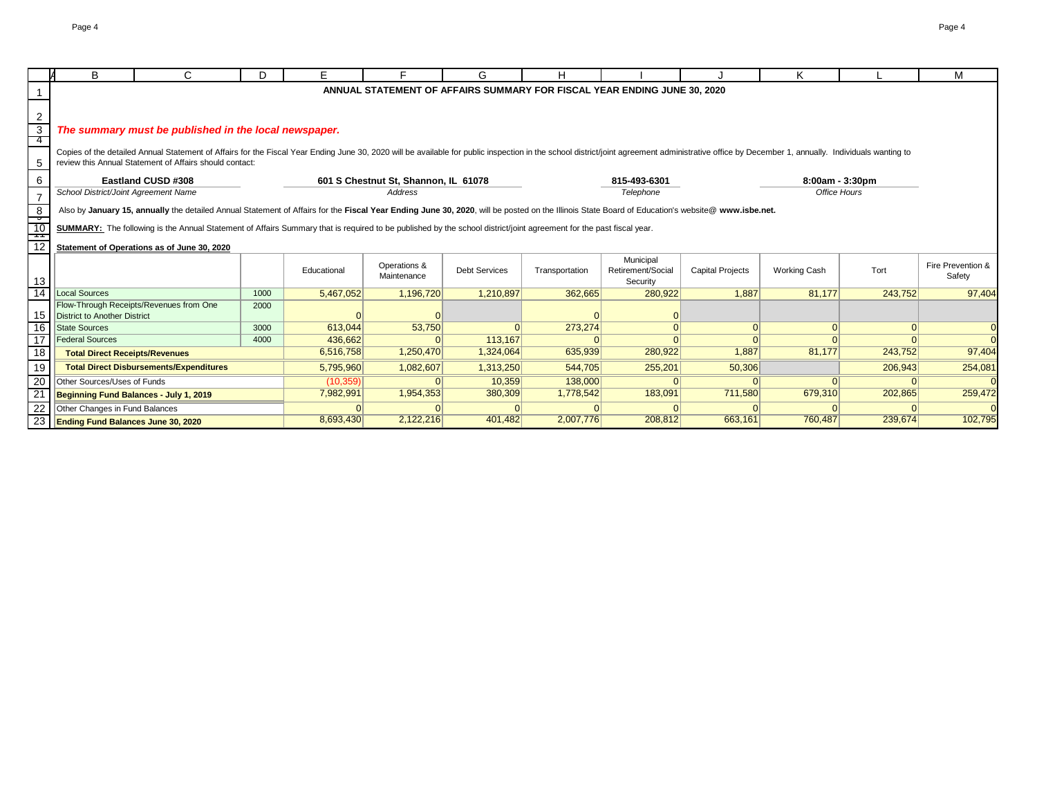|                                                      | B                                         | $\mathbf{C}$                                                                                                                                                                                                                   | D.   | F.          |                                      | G                    | н              |                                                                          |                         | κ                   |          | м                           |
|------------------------------------------------------|-------------------------------------------|--------------------------------------------------------------------------------------------------------------------------------------------------------------------------------------------------------------------------------|------|-------------|--------------------------------------|----------------------|----------------|--------------------------------------------------------------------------|-------------------------|---------------------|----------|-----------------------------|
|                                                      |                                           |                                                                                                                                                                                                                                |      |             |                                      |                      |                | ANNUAL STATEMENT OF AFFAIRS SUMMARY FOR FISCAL YEAR ENDING JUNE 30, 2020 |                         |                     |          |                             |
|                                                      |                                           |                                                                                                                                                                                                                                |      |             |                                      |                      |                |                                                                          |                         |                     |          |                             |
| 2                                                    |                                           |                                                                                                                                                                                                                                |      |             |                                      |                      |                |                                                                          |                         |                     |          |                             |
| 3                                                    |                                           | The summary must be published in the local newspaper.                                                                                                                                                                          |      |             |                                      |                      |                |                                                                          |                         |                     |          |                             |
| -4                                                   |                                           |                                                                                                                                                                                                                                |      |             |                                      |                      |                |                                                                          |                         |                     |          |                             |
|                                                      |                                           | Copies of the detailed Annual Statement of Affairs for the Fiscal Year Ending June 30, 2020 will be available for public inspection in the school district/joint agreement administrative office by December 1, annually. Indi |      |             |                                      |                      |                |                                                                          |                         |                     |          |                             |
| 5                                                    |                                           | review this Annual Statement of Affairs should contact:                                                                                                                                                                        |      |             |                                      |                      |                |                                                                          |                         |                     |          |                             |
| 6                                                    |                                           | Eastland CUSD #308                                                                                                                                                                                                             |      |             | 601 S Chestnut St, Shannon, IL 61078 |                      |                | 815-493-6301                                                             |                         | 8:00am - 3:30pm     |          |                             |
| $\overline{7}$                                       | School District/Joint Agreement Name      |                                                                                                                                                                                                                                |      |             | Address                              |                      |                | Telephone                                                                |                         | Office Hours        |          |                             |
| 8                                                    |                                           | Also by January 15, annually the detailed Annual Statement of Affairs for the Fiscal Year Ending June 30, 2020, will be posted on the Illinois State Board of Education's website@ www.isbe.net.                               |      |             |                                      |                      |                |                                                                          |                         |                     |          |                             |
| $\overline{\phantom{a}}$<br>$\overline{10}$<br>— 1 T |                                           | SUMMARY: The following is the Annual Statement of Affairs Summary that is required to be published by the school district/joint agreement for the past fiscal year.                                                            |      |             |                                      |                      |                |                                                                          |                         |                     |          |                             |
| 12                                                   |                                           | Statement of Operations as of June 30, 2020                                                                                                                                                                                    |      |             |                                      |                      |                |                                                                          |                         |                     |          |                             |
| 13                                                   |                                           |                                                                                                                                                                                                                                |      | Educational | Operations &<br>Maintenance          | <b>Debt Services</b> | Transportation | Municipal<br>Retirement/Social<br>Security                               | <b>Capital Projects</b> | <b>Working Cash</b> | Tort     | Fire Prevention &<br>Safety |
| 14                                                   | Local Sources                             |                                                                                                                                                                                                                                | 1000 | 5,467,052   | 1,196,720                            | 1,210,897            | 362,665        | 280,922                                                                  | 1.887                   | 81,177              | 243,752  | 97,404                      |
| 15                                                   | <b>District to Another District</b>       | Flow-Through Receipts/Revenues from One                                                                                                                                                                                        | 2000 |             |                                      |                      |                |                                                                          |                         |                     |          |                             |
| 16                                                   | <b>State Sources</b>                      |                                                                                                                                                                                                                                | 3000 | 613,044     | 53,750                               | $\Omega$             | 273,274        |                                                                          |                         |                     | $\Omega$ |                             |
| 17                                                   | <b>Federal Sources</b>                    |                                                                                                                                                                                                                                | 4000 | 436,662     |                                      | 113,167              |                |                                                                          |                         |                     |          |                             |
| 18                                                   | <b>Total Direct Receipts/Revenues</b>     |                                                                                                                                                                                                                                |      | 6,516,758   | 1,250,470                            | 1,324,064            | 635,939        | 280,922                                                                  | 1,887                   | 81,177              | 243,752  | 97,404                      |
| 19                                                   |                                           | <b>Total Direct Disbursements/Expenditures</b>                                                                                                                                                                                 |      | 5,795,960   | 1,082,607                            | 1,313,250            | 544,705        | 255,201                                                                  | 50,306                  |                     | 206,943  | 254,081                     |
| 20                                                   | Other Sources/Uses of Funds               |                                                                                                                                                                                                                                |      | (10, 359)   |                                      | 10,359               | 138,000        |                                                                          |                         |                     |          |                             |
| 21                                                   | Beginning Fund Balances - July 1, 2019    |                                                                                                                                                                                                                                |      | 7,982,991   | 1,954,353                            | 380,309              | 1,778,542      | 183,091                                                                  | 711,580                 | 679,310             | 202,865  | 259,472                     |
| 22                                                   | Other Changes in Fund Balances            |                                                                                                                                                                                                                                |      |             |                                      |                      |                |                                                                          |                         |                     |          |                             |
| 23                                                   | <b>Ending Fund Balances June 30, 2020</b> |                                                                                                                                                                                                                                |      | 8,693,430   | 2,122,216                            | 401.482              | 2,007,776      | 208,812                                                                  | 663,161                 | 760,487             | 239,674  | 102,795                     |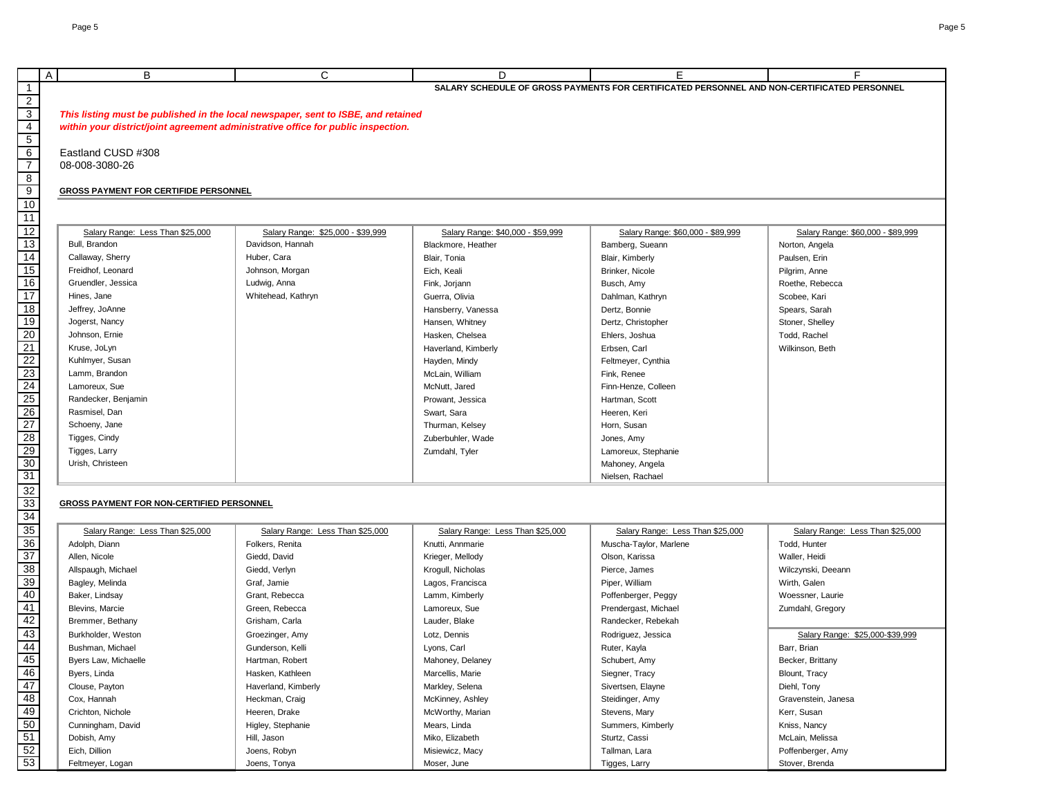|                                                                                       |                                                  |                                                                                   |                                   |                                                                                                   | F                                 |
|---------------------------------------------------------------------------------------|--------------------------------------------------|-----------------------------------------------------------------------------------|-----------------------------------|---------------------------------------------------------------------------------------------------|-----------------------------------|
|                                                                                       | B<br>A                                           | C                                                                                 | D                                 | E.<br>SALARY SCHEDULE OF GROSS PAYMENTS FOR CERTIFICATED PERSONNEL AND NON-CERTIFICATED PERSONNEL |                                   |
| $\mathbf{1}$                                                                          |                                                  |                                                                                   |                                   |                                                                                                   |                                   |
| $\frac{2}{3}$                                                                         |                                                  |                                                                                   |                                   |                                                                                                   |                                   |
|                                                                                       |                                                  | This listing must be published in the local newspaper, sent to ISBE, and retained |                                   |                                                                                                   |                                   |
|                                                                                       |                                                  | within your district/joint agreement administrative office for public inspection. |                                   |                                                                                                   |                                   |
|                                                                                       |                                                  |                                                                                   |                                   |                                                                                                   |                                   |
| $\frac{4}{\frac{5}{6}}$                                                               | Eastland CUSD #308                               |                                                                                   |                                   |                                                                                                   |                                   |
|                                                                                       | 08-008-3080-26                                   |                                                                                   |                                   |                                                                                                   |                                   |
| $\frac{8}{9}$                                                                         |                                                  |                                                                                   |                                   |                                                                                                   |                                   |
| 10                                                                                    | <b>GROSS PAYMENT FOR CERTIFIDE PERSONNEL</b>     |                                                                                   |                                   |                                                                                                   |                                   |
|                                                                                       |                                                  |                                                                                   |                                   |                                                                                                   |                                   |
| 11                                                                                    |                                                  |                                                                                   |                                   |                                                                                                   |                                   |
| 12                                                                                    | Salary Range: Less Than \$25,000                 | Salary Range: \$25,000 - \$39,999                                                 | Salary Range: \$40,000 - \$59,999 | Salary Range: \$60,000 - \$89,999                                                                 | Salary Range: \$60,000 - \$89,999 |
| 13                                                                                    | Bull, Brandon                                    | Davidson, Hannah                                                                  | Blackmore, Heather                | Bamberg, Sueann                                                                                   | Norton, Angela                    |
| 14                                                                                    | Callaway, Sherry                                 | Huber, Cara                                                                       | Blair, Tonia                      | Blair, Kimberly                                                                                   | Paulsen, Erin                     |
| 15                                                                                    | Freidhof, Leonard                                | Johnson, Morgan                                                                   | Eich, Keali                       | Brinker, Nicole                                                                                   | Pilgrim, Anne                     |
| 16                                                                                    | Gruendler, Jessica                               | Ludwig, Anna                                                                      | Fink, Jorjann                     | Busch, Amy                                                                                        | Roethe, Rebecca                   |
| $\overline{17}$                                                                       | Hines, Jane                                      | Whitehead, Kathryn                                                                | Guerra, Olivia                    | Dahlman, Kathryn                                                                                  | Scobee, Kari                      |
| $\overline{18}$                                                                       | Jeffrey, JoAnne                                  |                                                                                   | Hansberry, Vanessa                | Dertz, Bonnie                                                                                     | Spears, Sarah                     |
| 19                                                                                    | Jogerst, Nancy                                   |                                                                                   | Hansen, Whitney                   | Dertz, Christopher                                                                                | Stoner, Shelley                   |
| $\overline{20}$                                                                       | Johnson, Ernie                                   |                                                                                   | Hasken, Chelsea                   | Ehlers, Joshua                                                                                    | Todd, Rachel                      |
|                                                                                       | Kruse, JoLyn                                     |                                                                                   | Haverland, Kimberly               | Erbsen, Carl                                                                                      | Wilkinson, Beth                   |
|                                                                                       | Kuhlmyer, Susan                                  |                                                                                   | Hayden, Mindy                     | Feltmeyer, Cynthia                                                                                |                                   |
|                                                                                       | Lamm, Brandon                                    |                                                                                   | McLain, William                   | Fink, Renee                                                                                       |                                   |
|                                                                                       | Lamoreux, Sue                                    |                                                                                   | McNutt, Jared                     | Finn-Henze, Colleen                                                                               |                                   |
| $\frac{21}{22}$ $\frac{22}{23}$ $\frac{23}{24}$ $\frac{25}{25}$ $\frac{26}{27}$       | Randecker, Benjamin                              |                                                                                   | Prowant, Jessica                  | Hartman, Scott                                                                                    |                                   |
|                                                                                       | Rasmisel, Dan                                    |                                                                                   | Swart, Sara                       | Heeren, Keri                                                                                      |                                   |
|                                                                                       | Schoeny, Jane                                    |                                                                                   | Thurman, Kelsey                   | Horn, Susan                                                                                       |                                   |
|                                                                                       | Tigges, Cindy                                    |                                                                                   | Zuberbuhler, Wade                 | Jones, Amy                                                                                        |                                   |
| $\frac{28}{29} \frac{30}{30} \frac{31}{31} \frac{32}{33} \frac{33}{34} \frac{35}{36}$ | Tigges, Larry                                    |                                                                                   | Zumdahl, Tyler                    | Lamoreux, Stephanie                                                                               |                                   |
|                                                                                       | Urish, Christeen                                 |                                                                                   |                                   | Mahoney, Angela                                                                                   |                                   |
|                                                                                       |                                                  |                                                                                   |                                   | Nielsen, Rachael                                                                                  |                                   |
|                                                                                       |                                                  |                                                                                   |                                   |                                                                                                   |                                   |
|                                                                                       | <b>GROSS PAYMENT FOR NON-CERTIFIED PERSONNEL</b> |                                                                                   |                                   |                                                                                                   |                                   |
|                                                                                       |                                                  |                                                                                   |                                   |                                                                                                   |                                   |
|                                                                                       | Salary Range: Less Than \$25,000                 | Salary Range: Less Than \$25,000                                                  | Salary Range: Less Than \$25,000  | Salary Range: Less Than \$25,000                                                                  | Salary Range: Less Than \$25,000  |
|                                                                                       | Adolph, Diann                                    | Folkers, Renita                                                                   | Knutti, Annmarie                  | Muscha-Taylor, Marlene                                                                            | Todd, Hunter                      |
|                                                                                       | Allen, Nicole                                    | Giedd, David                                                                      | Krieger, Mellody                  | Olson, Karissa                                                                                    | Waller, Heidi                     |
| $\frac{37}{38}$<br>$\frac{39}{39}$                                                    | Allspaugh, Michael                               | Giedd, Verlyn                                                                     | Krogull, Nicholas                 | Pierce, James                                                                                     | Wilczynski, Deeann                |
|                                                                                       | Bagley, Melinda                                  | Graf, Jamie                                                                       | Lagos, Francisca                  | Piper, William                                                                                    | Wirth, Galen                      |
| 40                                                                                    | Baker, Lindsay                                   | Grant, Rebecca                                                                    | Lamm, Kimberly                    | Poffenberger, Peggy                                                                               | Woessner, Laurie                  |
| 41                                                                                    | Blevins, Marcie                                  | Green, Rebecca                                                                    | Lamoreux, Sue                     | Prendergast, Michael                                                                              | Zumdahl, Gregory                  |
| 42                                                                                    | Bremmer, Bethany                                 | Grisham, Carla                                                                    | Lauder, Blake                     | Randecker, Rebekah                                                                                |                                   |
| 43                                                                                    | Burkholder, Weston                               | Groezinger, Amy                                                                   | Lotz, Dennis                      | Rodriguez, Jessica                                                                                | Salary Range: \$25,000-\$39,999   |
| 44                                                                                    | Bushman, Michael                                 | Gunderson, Kelli                                                                  | Lyons, Carl                       | Ruter, Kayla                                                                                      | Barr, Brian                       |
| 45                                                                                    | Byers Law, Michaelle                             | Hartman, Robert                                                                   | Mahoney, Delaney                  | Schubert, Amy                                                                                     | Becker, Brittany                  |
| 46                                                                                    | Byers, Linda                                     | Hasken, Kathleen                                                                  | Marcellis, Marie                  | Siegner, Tracy                                                                                    | Blount, Tracy                     |
| $\frac{47}{48}$<br>$\frac{49}{49}$                                                    | Clouse, Payton                                   | Haverland, Kimberly                                                               | Markley, Selena                   | Sivertsen, Elayne                                                                                 | Diehl, Tony                       |
|                                                                                       | Cox, Hannah                                      | Heckman, Craig                                                                    | McKinney, Ashley                  | Steidinger, Amy                                                                                   | Gravenstein, Janesa               |
|                                                                                       | Crichton, Nichole                                | Heeren, Drake                                                                     | McWorthy, Marian                  | Stevens, Mary                                                                                     | Kerr, Susan                       |
|                                                                                       | Cunningham, David                                | Higley, Stephanie                                                                 | Mears, Linda                      | Summers, Kimberly                                                                                 | Kniss, Nancy                      |
|                                                                                       | Dobish, Amy                                      | Hill, Jason                                                                       | Miko, Elizabeth                   | Sturtz, Cassi                                                                                     | McLain, Melissa                   |
| $\frac{50}{51}$<br>$\frac{52}{53}$                                                    | Eich, Dillion                                    | Joens, Robyn                                                                      | Misiewicz, Macy                   | Tallman, Lara                                                                                     | Poffenberger, Amy                 |
|                                                                                       | Feltmeyer, Logan                                 | Joens, Tonya                                                                      | Moser, June                       | Tigges, Larry                                                                                     | Stover, Brenda                    |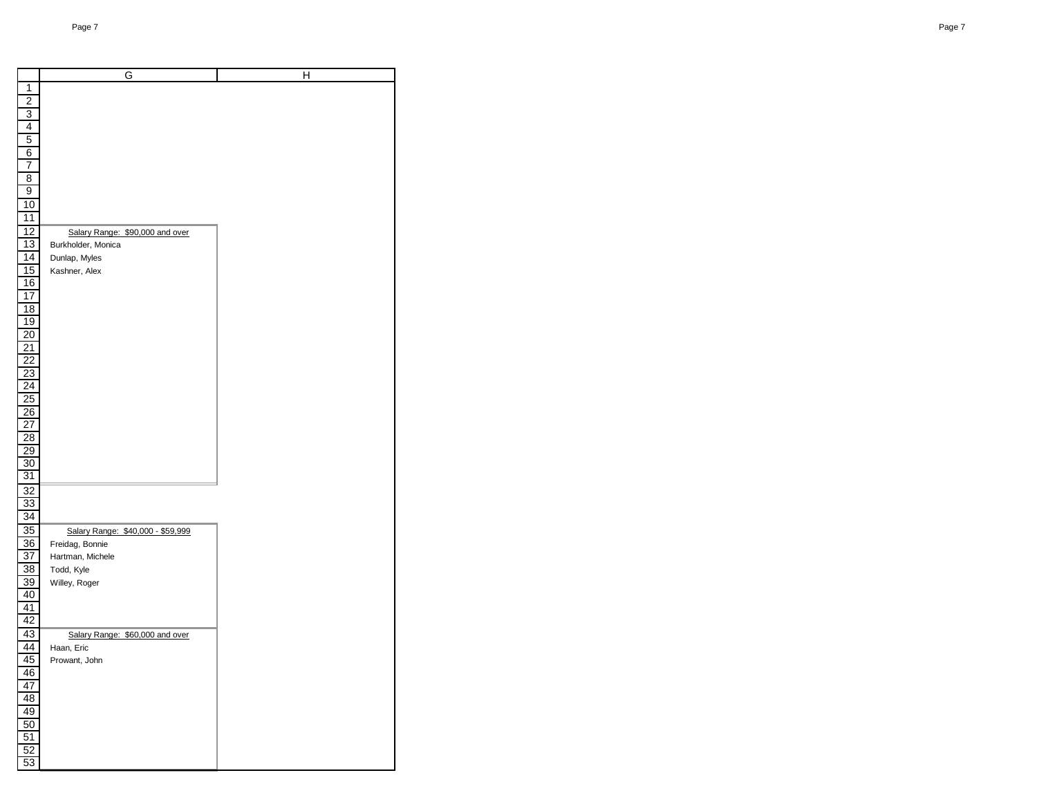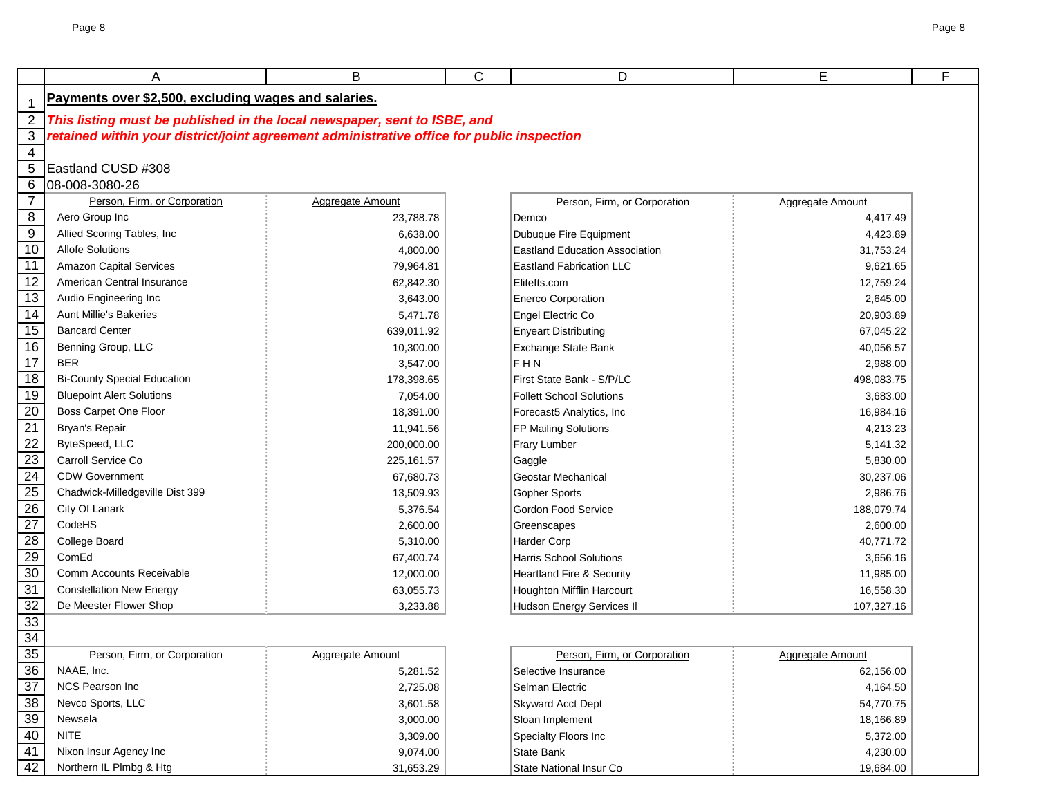|                 | A                                                                                         | B                | С | D                               | Е                | F |  |  |  |
|-----------------|-------------------------------------------------------------------------------------------|------------------|---|---------------------------------|------------------|---|--|--|--|
|                 | Payments over \$2,500, excluding wages and salaries.                                      |                  |   |                                 |                  |   |  |  |  |
| $\overline{2}$  | This listing must be published in the local newspaper, sent to ISBE, and                  |                  |   |                                 |                  |   |  |  |  |
| 3               | retained within your district/joint agreement administrative office for public inspection |                  |   |                                 |                  |   |  |  |  |
| 4               |                                                                                           |                  |   |                                 |                  |   |  |  |  |
| 5               | Eastland CUSD #308                                                                        |                  |   |                                 |                  |   |  |  |  |
| $6\phantom{1}6$ | 08-008-3080-26                                                                            |                  |   |                                 |                  |   |  |  |  |
| $\overline{7}$  | Person, Firm, or Corporation                                                              | Aggregate Amount |   | Person, Firm, or Corporation    | Aggregate Amount |   |  |  |  |
| 8               | Aero Group Inc                                                                            | 23,788.78        |   | Demco                           | 4,417.49         |   |  |  |  |
| 9               | Allied Scoring Tables, Inc.                                                               | 6,638.00         |   | Dubuque Fire Equipment          | 4,423.89         |   |  |  |  |
| 10              | <b>Allofe Solutions</b>                                                                   | 4,800.00         |   | Eastland Education Association  | 31,753.24        |   |  |  |  |
| 11              | <b>Amazon Capital Services</b>                                                            | 79,964.81        |   | <b>Eastland Fabrication LLC</b> | 9,621.65         |   |  |  |  |
| $\overline{12}$ | American Central Insurance                                                                | 62,842.30        |   | Elitefts.com                    | 12,759.24        |   |  |  |  |
| $\overline{13}$ | Audio Engineering Inc                                                                     | 3,643.00         |   | <b>Enerco Corporation</b>       | 2,645.00         |   |  |  |  |
| 14              | <b>Aunt Millie's Bakeries</b>                                                             | 5,471.78         |   | Engel Electric Co               | 20,903.89        |   |  |  |  |
| 15              | <b>Bancard Center</b>                                                                     | 639,011.92       |   | Enyeart Distributing            | 67,045.22        |   |  |  |  |
| 16              | Benning Group, LLC                                                                        | 10,300.00        |   | Exchange State Bank             | 40,056.57        |   |  |  |  |
| 17              | <b>BER</b>                                                                                | 3,547.00         |   | lf H N                          | 2,988.00         |   |  |  |  |
| 18              | <b>Bi-County Special Education</b>                                                        | 178,398.65       |   | First State Bank - S/P/LC       | 498,083.75       |   |  |  |  |
| 19              | <b>Bluepoint Alert Solutions</b>                                                          | 7,054.00         |   | Follett School Solutions        | 3,683.00         |   |  |  |  |
| 20              | Boss Carpet One Floor                                                                     | 18,391.00        |   | Forecast5 Analytics, Inc        | 16,984.16        |   |  |  |  |
| $\overline{21}$ | Bryan's Repair                                                                            | 11,941.56        |   | <b>FP Mailing Solutions</b>     | 4,213.23         |   |  |  |  |
| 22              | ByteSpeed, LLC                                                                            | 200,000.00       |   | Frary Lumber                    | 5,141.32         |   |  |  |  |
| $\overline{23}$ | Carroll Service Co                                                                        | 225, 161.57      |   | Gaggle                          | 5,830.00         |   |  |  |  |
| 24              | <b>CDW Government</b>                                                                     | 67,680.73        |   | Geostar Mechanical              | 30,237.06        |   |  |  |  |
| $\overline{25}$ | Chadwick-Milledgeville Dist 399                                                           | 13,509.93        |   | <b>Gopher Sports</b>            | 2,986.76         |   |  |  |  |
| $\overline{26}$ | City Of Lanark                                                                            | 5,376.54         |   | <b>Gordon Food Service</b>      | 188,079.74       |   |  |  |  |
| 27              | CodeHS                                                                                    | 2,600.00         |   | Greenscapes                     | 2,600.00         |   |  |  |  |
| $\overline{28}$ | College Board                                                                             | 5,310.00         |   | Harder Corp                     | 40,771.72        |   |  |  |  |
| 29              | ComEd                                                                                     | 67,400.74        |   | <b>Harris School Solutions</b>  | 3,656.16         |   |  |  |  |
| 30              | Comm Accounts Receivable                                                                  | 12,000.00        |   | Heartland Fire & Security       | 11,985.00        |   |  |  |  |
| 31              | <b>Constellation New Energy</b>                                                           | 63,055.73        |   | Houghton Mifflin Harcourt       | 16,558.30        |   |  |  |  |
| 32              | De Meester Flower Shop                                                                    | 3,233.88         |   | Hudson Energy Services II       | 107,327.16       |   |  |  |  |
| 33              |                                                                                           |                  |   |                                 |                  |   |  |  |  |
| 34              |                                                                                           |                  |   |                                 |                  |   |  |  |  |
| 35              | Person, Firm, or Corporation                                                              | Aggregate Amount |   | Person, Firm, or Corporation    | Aggregate Amount |   |  |  |  |
| 36              | NAAE, Inc.                                                                                | 5,281.52         |   | Selective Insurance             | 62,156.00        |   |  |  |  |
| $\overline{37}$ | NCS Pearson Inc                                                                           | 2,725.08         |   | Selman Electric                 | 4,164.50         |   |  |  |  |
| 38              | Nevco Sports, LLC                                                                         | 3,601.58         |   | <b>Skyward Acct Dept</b>        | 54,770.75        |   |  |  |  |
| 39              | Newsela                                                                                   | 3,000.00         |   | Sloan Implement                 | 18,166.89        |   |  |  |  |
| 40              | <b>NITE</b>                                                                               | 3,309.00         |   | Specialty Floors Inc            | 5,372.00         |   |  |  |  |
| 41              | Nixon Insur Agency Inc                                                                    | 9,074.00         |   | State Bank                      | 4,230.00         |   |  |  |  |
| 42              | Northern IL Plmbg & Htg                                                                   | 31,653.29        |   | State National Insur Co         | 19,684.00        |   |  |  |  |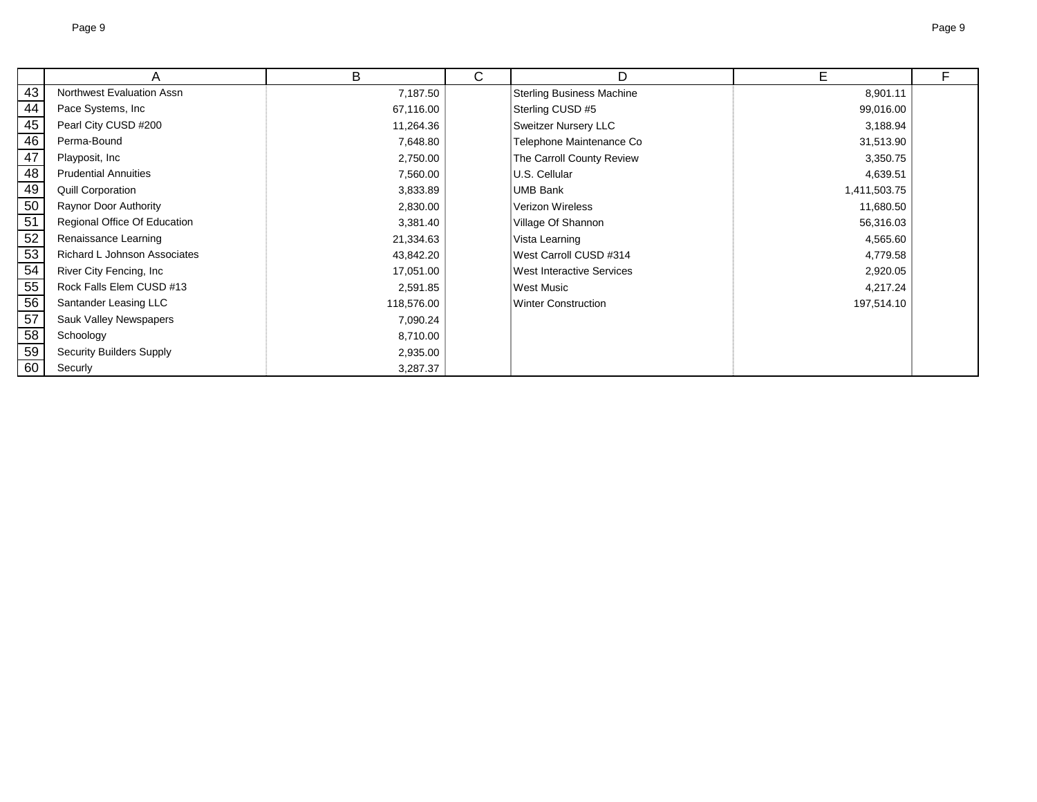|                 | Α                               | B          | C. | D                                | Е            | F |
|-----------------|---------------------------------|------------|----|----------------------------------|--------------|---|
| 43              | Northwest Evaluation Assn       | 7,187.50   |    | <b>Sterling Business Machine</b> | 8,901.11     |   |
| 44              | Pace Systems, Inc               | 67,116.00  |    | Sterling CUSD #5                 | 99,016.00    |   |
| 45              | Pearl City CUSD #200            | 11,264.36  |    | <b>Sweitzer Nursery LLC</b>      | 3,188.94     |   |
| 46              | Perma-Bound                     | 7,648.80   |    | Telephone Maintenance Co         | 31,513.90    |   |
| 47              | Playposit, Inc.                 | 2,750.00   |    | The Carroll County Review        | 3,350.75     |   |
| 48              | <b>Prudential Annuities</b>     | 7,560.00   |    | U.S. Cellular                    | 4,639.51     |   |
| 49              | <b>Quill Corporation</b>        | 3,833.89   |    | UMB Bank                         | 1,411,503.75 |   |
| 50              | <b>Raynor Door Authority</b>    | 2,830.00   |    | Verizon Wireless                 | 11,680.50    |   |
| $\overline{51}$ | Regional Office Of Education    | 3,381.40   |    | Village Of Shannon               | 56,316.03    |   |
| 52              | Renaissance Learning            | 21,334.63  |    | Vista Learning                   | 4,565.60     |   |
| 53              | Richard L Johnson Associates    | 43,842.20  |    | West Carroll CUSD #314           | 4,779.58     |   |
| 54              | River City Fencing, Inc.        | 17,051.00  |    | <b>West Interactive Services</b> | 2,920.05     |   |
| 55              | Rock Falls Elem CUSD #13        | 2,591.85   |    | West Music                       | 4,217.24     |   |
| 56              | Santander Leasing LLC           | 118,576.00 |    | <b>Winter Construction</b>       | 197,514.10   |   |
| $\overline{57}$ | Sauk Valley Newspapers          | 7,090.24   |    |                                  |              |   |
| 58              | Schoology                       | 8,710.00   |    |                                  |              |   |
| 59              | <b>Security Builders Supply</b> | 2,935.00   |    |                                  |              |   |
| 60              | Securly                         | 3,287.37   |    |                                  |              |   |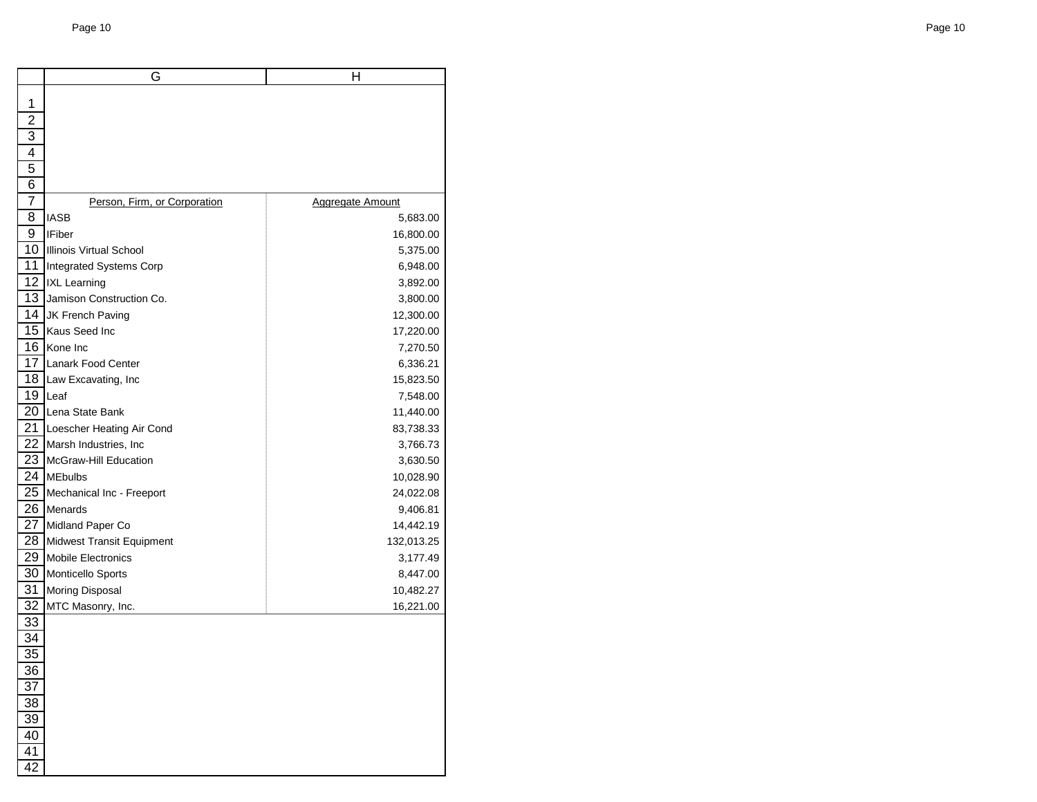|                 | G                             | н                       |
|-----------------|-------------------------------|-------------------------|
| 1               |                               |                         |
| $\overline{2}$  |                               |                         |
| 3               |                               |                         |
| 4               |                               |                         |
| 5               |                               |                         |
| 6               |                               |                         |
| 7               | Person, Firm, or Corporation  | <b>Aggregate Amount</b> |
| 8               | IASB                          | 5,683.00                |
| 9               | <b>IFiber</b>                 | 16,800.00               |
|                 | 10 Illinois Virtual School    | 5,375.00                |
| 11              | Integrated Systems Corp       | 6,948.00                |
|                 | 12   IXL Learning             | 3,892.00                |
|                 | 13 Jamison Construction Co.   | 3,800.00                |
|                 | 14 JK French Paving           | 12,300.00               |
|                 | 15 Kaus Seed Inc              | 17,220.00               |
|                 | 16 Kone Inc                   | 7,270.50                |
| 17              | Lanark Food Center            | 6,336.21                |
|                 | 18 Law Excavating, Inc        | 15,823.50               |
|                 | 19 Leaf                       | 7,548.00                |
|                 | 20 Lena State Bank            | 11,440.00               |
| 21              | Loescher Heating Air Cond     | 83,738.33               |
|                 | 22 Marsh Industries, Inc.     | 3,766.73                |
| 23              | <b>IMcGraw-Hill Education</b> | 3,630.50                |
|                 | 24 MEbulbs                    | 10,028.90               |
| 25              | Mechanical Inc - Freeport     | 24,022.08               |
|                 | 26 Menards                    | 9,406.81                |
| 27              | Midland Paper Co              | 14,442.19               |
|                 | 28 Midwest Transit Equipment  | 132,013.25              |
| 29              | Mobile Electronics            | 3,177.49                |
|                 | 30   Monticello Sports        | 8,447.00                |
| 31              | Moring Disposal               | 10,482.27               |
| 32              | MTC Masonry, Inc.             | 16,221.00               |
| 33              |                               |                         |
| 34              |                               |                         |
| 35              |                               |                         |
| 36              |                               |                         |
| 37              |                               |                         |
| $\frac{38}{1}$  |                               |                         |
| <u>39</u>       |                               |                         |
| 40              |                               |                         |
| 41              |                               |                         |
| $\overline{42}$ |                               |                         |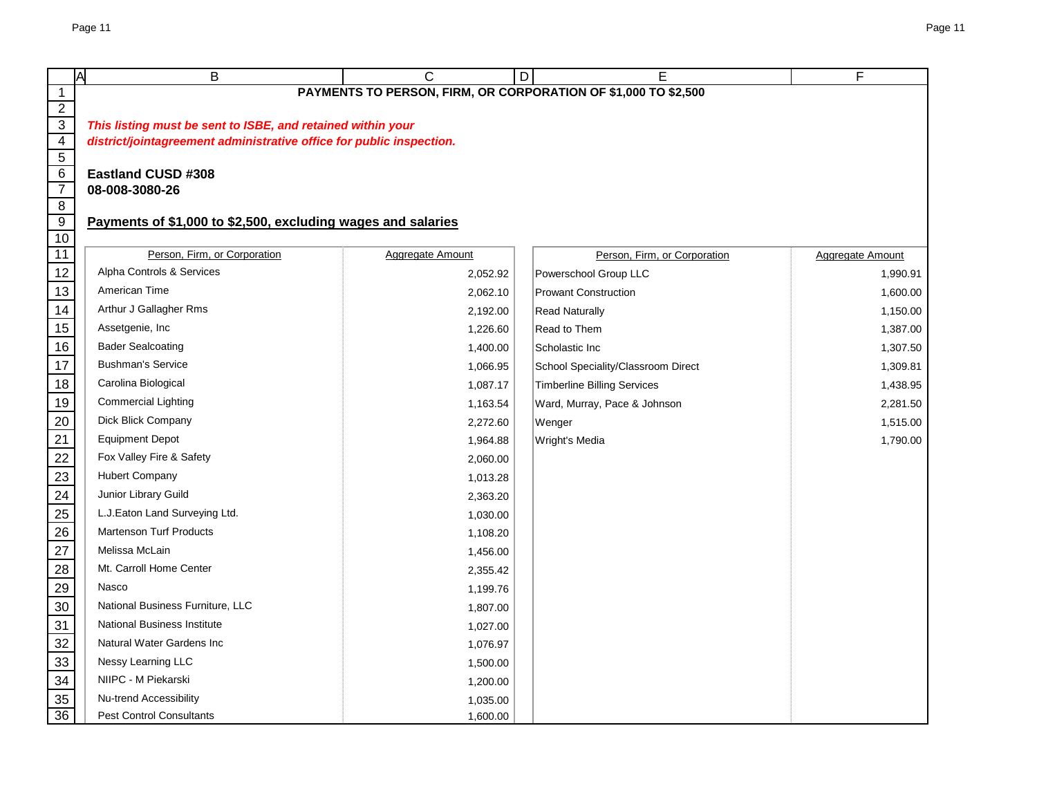|                           | Ā<br>Β                                                               | C                       | Е<br>D                                                         | F                       |  |  |  |  |
|---------------------------|----------------------------------------------------------------------|-------------------------|----------------------------------------------------------------|-------------------------|--|--|--|--|
| $\mathbf{1}$              |                                                                      |                         | PAYMENTS TO PERSON, FIRM, OR CORPORATION OF \$1,000 TO \$2,500 |                         |  |  |  |  |
| $\overline{2}$            |                                                                      |                         |                                                                |                         |  |  |  |  |
| $\overline{3}$            | This listing must be sent to ISBE, and retained within your          |                         |                                                                |                         |  |  |  |  |
| $\overline{4}$            | district/jointagreement administrative office for public inspection. |                         |                                                                |                         |  |  |  |  |
| $\overline{5}$<br>$\,6\,$ | <b>Eastland CUSD #308</b>                                            |                         |                                                                |                         |  |  |  |  |
| $\overline{7}$            | 08-008-3080-26                                                       |                         |                                                                |                         |  |  |  |  |
| $\overline{8}$            |                                                                      |                         |                                                                |                         |  |  |  |  |
| $\overline{9}$            | Payments of \$1,000 to \$2,500, excluding wages and salaries         |                         |                                                                |                         |  |  |  |  |
| 10                        |                                                                      |                         |                                                                |                         |  |  |  |  |
| 11                        | Person, Firm, or Corporation                                         | <b>Aggregate Amount</b> | Person, Firm, or Corporation                                   | <b>Aggregate Amount</b> |  |  |  |  |
| 12                        | Alpha Controls & Services                                            | 2,052.92                | Powerschool Group LLC                                          | 1,990.91                |  |  |  |  |
| 13                        | American Time                                                        | 2,062.10                | <b>Prowant Construction</b>                                    | 1,600.00                |  |  |  |  |
| 14                        | Arthur J Gallagher Rms                                               | 2,192.00                | <b>Read Naturally</b>                                          | 1,150.00                |  |  |  |  |
| 15                        | Assetgenie, Inc                                                      | 1,226.60                | Read to Them                                                   | 1,387.00                |  |  |  |  |
| 16                        | <b>Bader Sealcoating</b>                                             | 1,400.00                | Scholastic Inc                                                 | 1,307.50                |  |  |  |  |
| 17                        | <b>Bushman's Service</b>                                             | 1,066.95                | School Speciality/Classroom Direct                             | 1,309.81                |  |  |  |  |
| 18                        | Carolina Biological                                                  | 1,087.17                | <b>Timberline Billing Services</b>                             | 1,438.95                |  |  |  |  |
| 19                        | <b>Commercial Lighting</b>                                           | 1,163.54                | Ward, Murray, Pace & Johnson                                   | 2,281.50                |  |  |  |  |
| 20                        | Dick Blick Company                                                   | 2,272.60                | Wenger                                                         | 1,515.00                |  |  |  |  |
| 21                        | <b>Equipment Depot</b>                                               | 1,964.88                | Wright's Media                                                 | 1,790.00                |  |  |  |  |
| 22                        | Fox Valley Fire & Safety                                             | 2,060.00                |                                                                |                         |  |  |  |  |
| 23                        | <b>Hubert Company</b>                                                | 1,013.28                |                                                                |                         |  |  |  |  |
| 24                        | Junior Library Guild                                                 | 2,363.20                |                                                                |                         |  |  |  |  |
| 25                        | L.J.Eaton Land Surveying Ltd.                                        | 1,030.00                |                                                                |                         |  |  |  |  |
| 26                        | <b>Martenson Turf Products</b>                                       | 1,108.20                |                                                                |                         |  |  |  |  |
| 27                        | Melissa McLain                                                       | 1,456.00                |                                                                |                         |  |  |  |  |
| 28                        | Mt. Carroll Home Center                                              | 2,355.42                |                                                                |                         |  |  |  |  |
| 29                        | Nasco                                                                | 1,199.76                |                                                                |                         |  |  |  |  |
| 30                        | National Business Furniture, LLC                                     | 1,807.00                |                                                                |                         |  |  |  |  |
| 31                        | <b>National Business Institute</b>                                   | 1,027.00                |                                                                |                         |  |  |  |  |
| 32                        | Natural Water Gardens Inc                                            | 1,076.97                |                                                                |                         |  |  |  |  |
| 33                        | Nessy Learning LLC                                                   | 1,500.00                |                                                                |                         |  |  |  |  |
| 34                        | NIIPC - M Piekarski                                                  | 1,200.00                |                                                                |                         |  |  |  |  |
| 35                        | Nu-trend Accessibility                                               | 1,035.00                |                                                                |                         |  |  |  |  |
| 36                        | <b>Pest Control Consultants</b>                                      | 1,600.00                |                                                                |                         |  |  |  |  |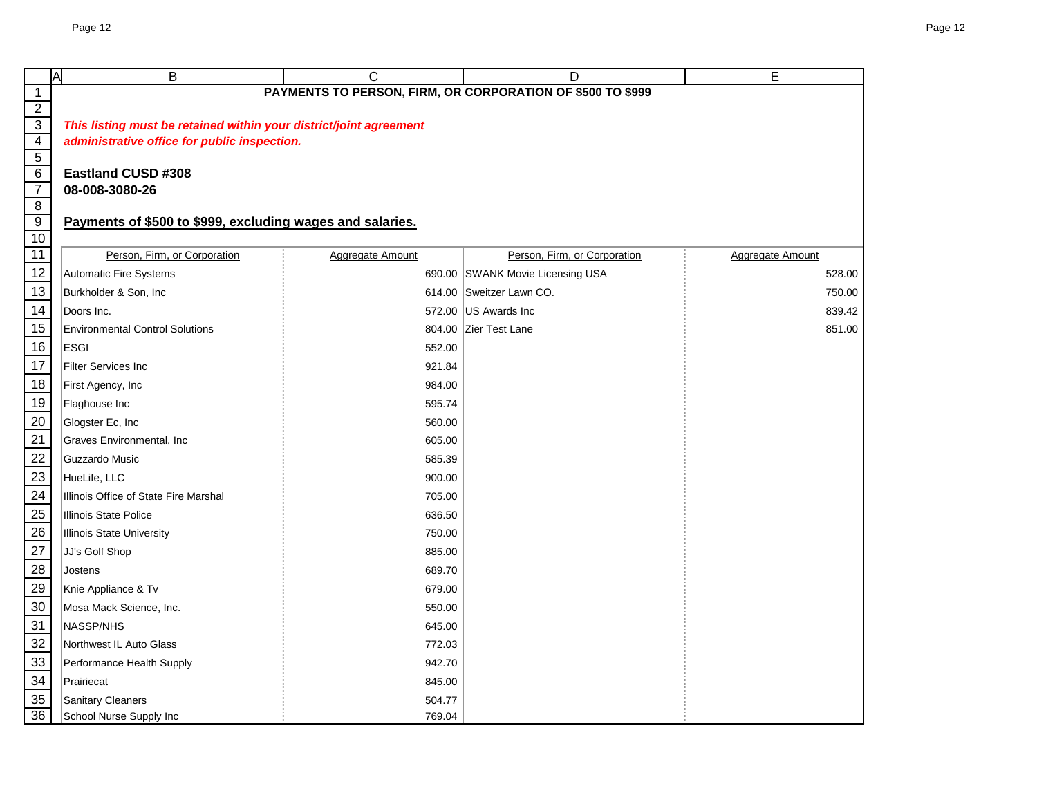| Page 12                                                                                                            |                         |                                                            |                  |  |  |  |
|--------------------------------------------------------------------------------------------------------------------|-------------------------|------------------------------------------------------------|------------------|--|--|--|
|                                                                                                                    |                         |                                                            |                  |  |  |  |
| B<br>A                                                                                                             | $\mathsf{C}$            | D                                                          | E                |  |  |  |
|                                                                                                                    |                         | PAYMENTS TO PERSON, FIRM, OR CORPORATION OF \$500 TO \$999 |                  |  |  |  |
| This listing must be retained within your district/joint agreement<br>administrative office for public inspection. |                         |                                                            |                  |  |  |  |
| <b>Eastland CUSD #308</b><br>08-008-3080-26                                                                        |                         |                                                            |                  |  |  |  |
| Payments of \$500 to \$999, excluding wages and salaries.                                                          |                         |                                                            |                  |  |  |  |
| Person, Firm, or Corporation                                                                                       | <b>Aggregate Amount</b> | Person, Firm, or Corporation                               | Aggregate Amount |  |  |  |
| <b>Automatic Fire Systems</b>                                                                                      |                         | 690.00 SWANK Movie Licensing USA                           | 528.00           |  |  |  |
| Burkholder & Son, Inc.                                                                                             |                         | 614.00 Sweitzer Lawn CO.                                   | 750.00           |  |  |  |
| Doors Inc.                                                                                                         |                         | 572.00 US Awards Inc                                       | 839.42           |  |  |  |
| <b>Environmental Control Solutions</b>                                                                             |                         | 804.00 Zier Test Lane                                      | 851.00           |  |  |  |
| <b>ESGI</b>                                                                                                        | 552.00                  |                                                            |                  |  |  |  |
| <b>Filter Services Inc</b>                                                                                         | 921.84                  |                                                            |                  |  |  |  |
| First Agency, Inc                                                                                                  | 984.00                  |                                                            |                  |  |  |  |
| Flaghouse Inc                                                                                                      | 595.74                  |                                                            |                  |  |  |  |
| Glogster Ec, Inc                                                                                                   | 560.00                  |                                                            |                  |  |  |  |
| Graves Environmental, Inc                                                                                          | 605.00                  |                                                            |                  |  |  |  |
| Guzzardo Music                                                                                                     | 585.39                  |                                                            |                  |  |  |  |
|                                                                                                                    |                         |                                                            |                  |  |  |  |

| $\frac{15}{1}$                                        | <b>Environmental Control Solutions</b> |        | 804.00 Zier Test Lane | 851.00 |
|-------------------------------------------------------|----------------------------------------|--------|-----------------------|--------|
| $\frac{16}{1}$                                        | <b>ESGI</b>                            | 552.00 |                       |        |
| $\frac{17}{1}$                                        | Filter Services Inc                    | 921.84 |                       |        |
| $\frac{18}{1}$                                        | First Agency, Inc                      | 984.00 |                       |        |
|                                                       | Flaghouse Inc                          | 595.74 |                       |        |
|                                                       | Glogster Ec, Inc                       | 560.00 |                       |        |
|                                                       | Graves Environmental, Inc              | 605.00 |                       |        |
|                                                       | Guzzardo Music                         | 585.39 |                       |        |
| $\frac{19}{20}$<br>$\frac{21}{22}$<br>$\frac{22}{23}$ | HueLife, LLC                           | 900.00 |                       |        |
| $\overline{24}$                                       | Illinois Office of State Fire Marshal  | 705.00 |                       |        |
| $\frac{25}{5}$                                        | <b>Illinois State Police</b>           | 636.50 |                       |        |
| $\frac{26}{5}$                                        | <b>Illinois State University</b>       | 750.00 |                       |        |
| $\frac{27}{2}$                                        | JJ's Golf Shop                         | 885.00 |                       |        |
| $\frac{28}{29}$                                       | Jostens                                | 689.70 |                       |        |
|                                                       | Knie Appliance & Tv                    | 679.00 |                       |        |
| $\frac{30}{2}$                                        | Mosa Mack Science, Inc.                | 550.00 |                       |        |
| $\frac{31}{1}$                                        | NASSP/NHS                              | 645.00 |                       |        |
| $\frac{32}{ }$                                        | Northwest IL Auto Glass                | 772.03 |                       |        |
| $\frac{33}{34}$                                       | Performance Health Supply              | 942.70 |                       |        |
|                                                       | Prairiecat                             | 845.00 |                       |        |
| 35<br>36                                              | Sanitary Cleaners                      | 504.77 |                       |        |
|                                                       | School Nurse Supply Inc                | 769.04 |                       |        |